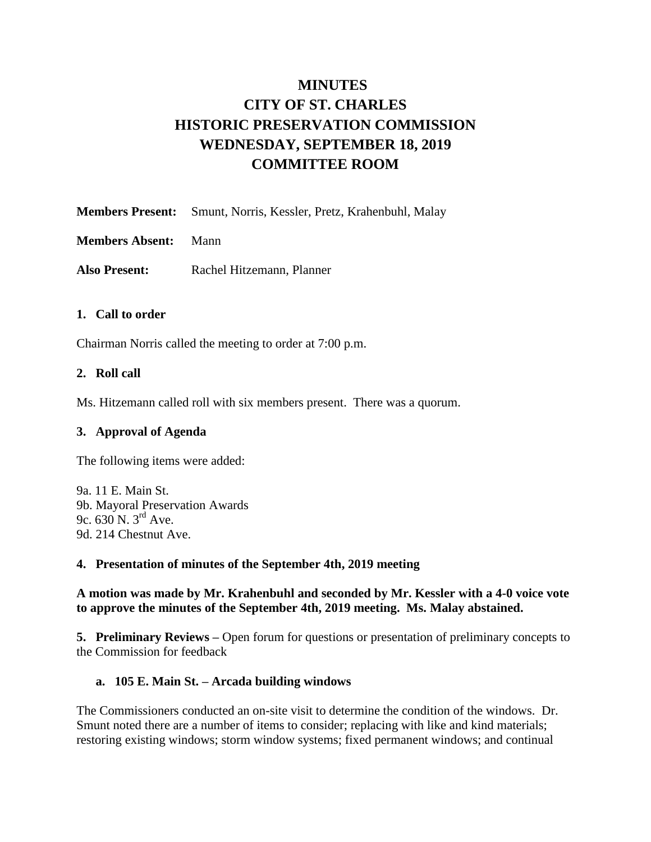# **MINUTES CITY OF ST. CHARLES HISTORIC PRESERVATION COMMISSION WEDNESDAY, SEPTEMBER 18, 2019 COMMITTEE ROOM**

**Members Present:** Smunt, Norris, Kessler, Pretz, Krahenbuhl, Malay

**Members Absent:** Mann

**Also Present:** Rachel Hitzemann, Planner

## **1. Call to order**

Chairman Norris called the meeting to order at 7:00 p.m.

#### **2. Roll call**

Ms. Hitzemann called roll with six members present. There was a quorum.

#### **3. Approval of Agenda**

The following items were added:

9a. 11 E. Main St. 9b. Mayoral Preservation Awards 9c. 630 N. 3rd Ave. 9d. 214 Chestnut Ave.

#### **4. Presentation of minutes of the September 4th, 2019 meeting**

**A motion was made by Mr. Krahenbuhl and seconded by Mr. Kessler with a 4-0 voice vote to approve the minutes of the September 4th, 2019 meeting. Ms. Malay abstained.**

**5. Preliminary Reviews –** Open forum for questions or presentation of preliminary concepts to the Commission for feedback

## **a. 105 E. Main St. – Arcada building windows**

The Commissioners conducted an on-site visit to determine the condition of the windows. Dr. Smunt noted there are a number of items to consider; replacing with like and kind materials; restoring existing windows; storm window systems; fixed permanent windows; and continual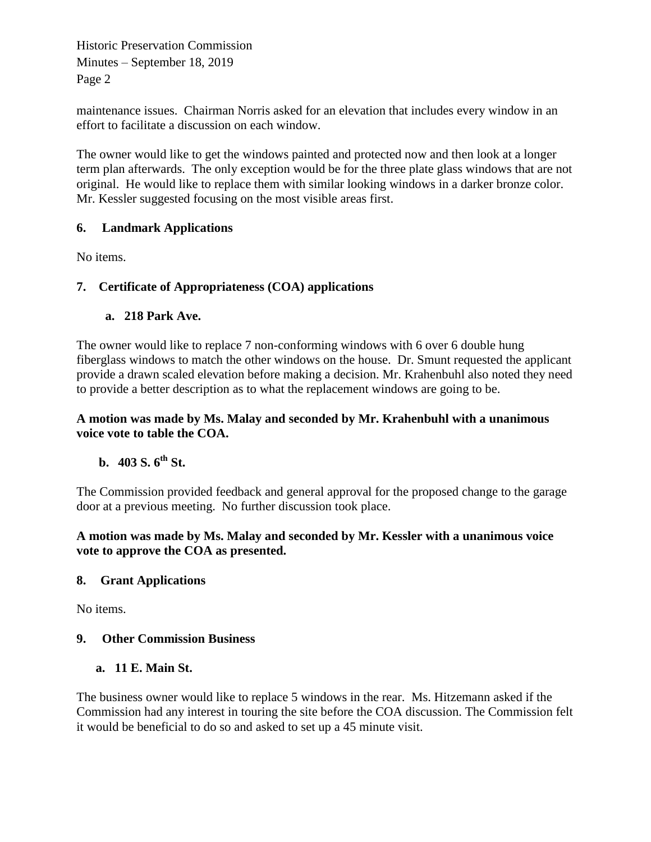Historic Preservation Commission Minutes – September 18, 2019 Page 2

maintenance issues. Chairman Norris asked for an elevation that includes every window in an effort to facilitate a discussion on each window.

The owner would like to get the windows painted and protected now and then look at a longer term plan afterwards. The only exception would be for the three plate glass windows that are not original. He would like to replace them with similar looking windows in a darker bronze color. Mr. Kessler suggested focusing on the most visible areas first.

# **6. Landmark Applications**

No items.

# **7. Certificate of Appropriateness (COA) applications**

## **a. 218 Park Ave.**

The owner would like to replace 7 non-conforming windows with 6 over 6 double hung fiberglass windows to match the other windows on the house. Dr. Smunt requested the applicant provide a drawn scaled elevation before making a decision. Mr. Krahenbuhl also noted they need to provide a better description as to what the replacement windows are going to be.

## **A motion was made by Ms. Malay and seconded by Mr. Krahenbuhl with a unanimous voice vote to table the COA.**

# **b. 403 S. 6th St.**

The Commission provided feedback and general approval for the proposed change to the garage door at a previous meeting. No further discussion took place.

#### **A motion was made by Ms. Malay and seconded by Mr. Kessler with a unanimous voice vote to approve the COA as presented.**

## **8. Grant Applications**

No items.

## **9. Other Commission Business**

#### **a. 11 E. Main St.**

The business owner would like to replace 5 windows in the rear. Ms. Hitzemann asked if the Commission had any interest in touring the site before the COA discussion. The Commission felt it would be beneficial to do so and asked to set up a 45 minute visit.